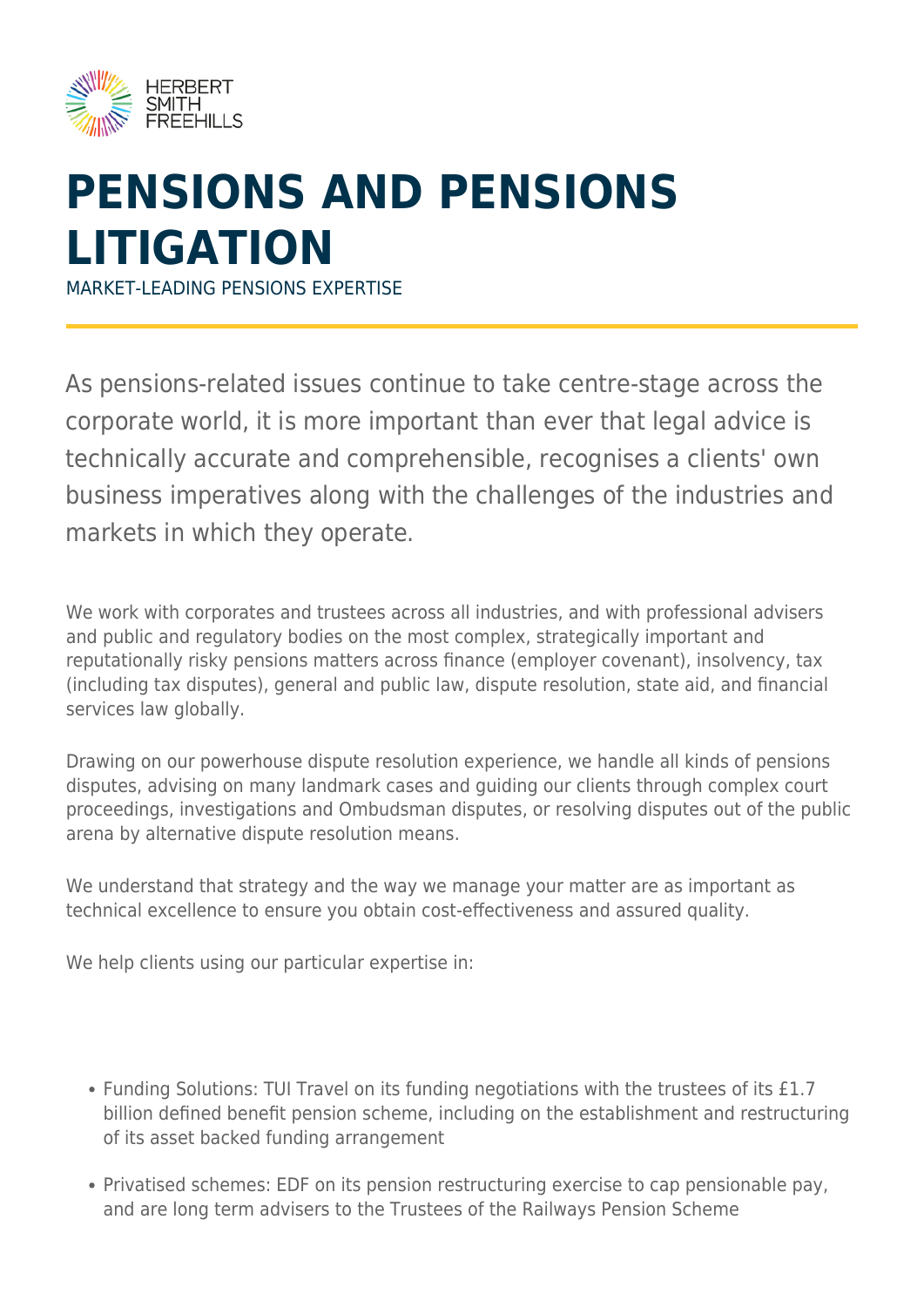

## **PENSIONS AND PENSIONS LITIGATION**

MARKET-LEADING PENSIONS EXPERTISE

As pensions-related issues continue to take centre-stage across the corporate world, it is more important than ever that legal advice is technically accurate and comprehensible, recognises a clients' own business imperatives along with the challenges of the industries and markets in which they operate.

We work with corporates and trustees across all industries, and with professional advisers and public and regulatory bodies on the most complex, strategically important and reputationally risky pensions matters across finance (employer covenant), insolvency, tax (including tax disputes), general and public law, dispute resolution, state aid, and financial services law globally.

Drawing on our powerhouse dispute resolution experience, we handle all kinds of pensions disputes, advising on many landmark cases and guiding our clients through complex court proceedings, investigations and Ombudsman disputes, or resolving disputes out of the public arena by alternative dispute resolution means.

We understand that strategy and the way we manage your matter are as important as technical excellence to ensure you obtain cost-effectiveness and assured quality.

We help clients using our particular expertise in:

- Funding Solutions: TUI Travel on its funding negotiations with the trustees of its £1.7 billion defined benefit pension scheme, including on the establishment and restructuring of its asset backed funding arrangement
- Privatised schemes: EDF on its pension restructuring exercise to cap pensionable pay, and are long term advisers to the Trustees of the Railways Pension Scheme